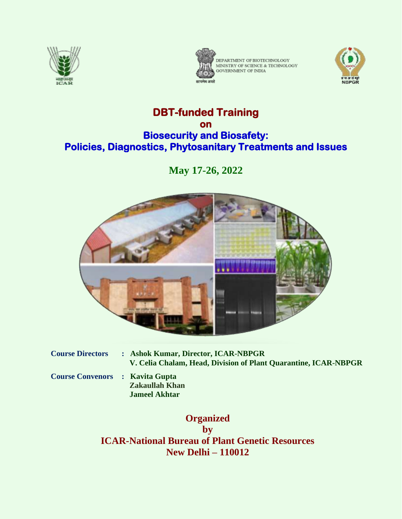





# **DBT-funded Training on Biosecurity and Biosafety: Policies, Diagnostics, Phytosanitary Treatments and Issues**

**May 17-26, 2022**



- **Course Directors : Ashok Kumar, Director, ICAR-NBPGR V. Celia Chalam, Head, Division of Plant Quarantine, ICAR-NBPGR**
- **Course Convenors : Kavita Gupta Zakaullah Khan Jameel Akhtar**

**Organized by ICAR-National Bureau of Plant Genetic Resources New Delhi – 110012**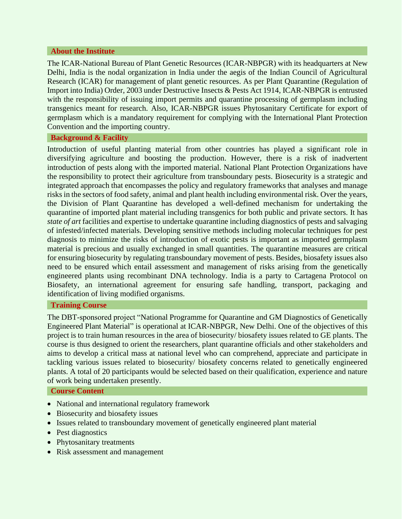#### **About the Institute**

The ICAR-National Bureau of Plant Genetic Resources (ICAR-NBPGR) with its headquarters at New Delhi, India is the nodal organization in India under the aegis of the Indian Council of Agricultural Research (ICAR) for management of plant genetic resources. As per Plant Quarantine (Regulation of Import into India) Order, 2003 under Destructive Insects & Pests Act 1914, ICAR-NBPGR is entrusted with the responsibility of issuing import permits and quarantine processing of germplasm including transgenics meant for research. Also, ICAR-NBPGR issues Phytosanitary Certificate for export of germplasm which is a mandatory requirement for complying with the International Plant Protection Convention and the importing country.

### **Background & Facility**

Introduction of useful planting material from other countries has played a significant role in diversifying agriculture and boosting the production. However, there is a risk of inadvertent introduction of pests along with the imported material. National Plant Protection Organizations have the responsibility to protect their agriculture from transboundary pests. Biosecurity is a strategic and integrated approach that encompasses the policy and regulatory frameworks that analyses and manage risks in the sectors of food safety, animal and plant health including environmental risk. Over the years, the Division of Plant Quarantine has developed a well-defined mechanism for undertaking the quarantine of imported plant material including transgenics for both public and private sectors. It has *state of art* facilities and expertise to undertake quarantine including diagnostics of pests and salvaging of infested/infected materials. Developing sensitive methods including molecular techniques for pest diagnosis to minimize the risks of introduction of exotic pests is important as imported germplasm material is precious and usually exchanged in small quantities. The quarantine measures are critical for ensuring biosecurity by regulating transboundary movement of pests. Besides, biosafety issues also need to be ensured which entail assessment and management of risks arising from the genetically engineered plants using recombinant DNA technology. India is a party to Cartagena Protocol on Biosafety, an international agreement for ensuring safe handling, transport, packaging and identification of living modified organisms.

### **Training Course**

The DBT-sponsored project "National Programme for Quarantine and GM Diagnostics of Genetically Engineered Plant Material" is operational at ICAR-NBPGR, New Delhi. One of the objectives of this project is to train human resources in the area of biosecurity/ biosafety issues related to GE plants. The course is thus designed to orient the researchers, plant quarantine officials and other stakeholders and aims to develop a critical mass at national level who can comprehend, appreciate and participate in tackling various issues related to biosecurity/ biosafety concerns related to genetically engineered plants. A total of 20 participants would be selected based on their qualification, experience and nature of work being undertaken presently.

### **Course Content**

- National and international regulatory framework
- Biosecurity and biosafety issues
- Issues related to transboundary movement of genetically engineered plant material
- Pest diagnostics
- Phytosanitary treatments
- Risk assessment and management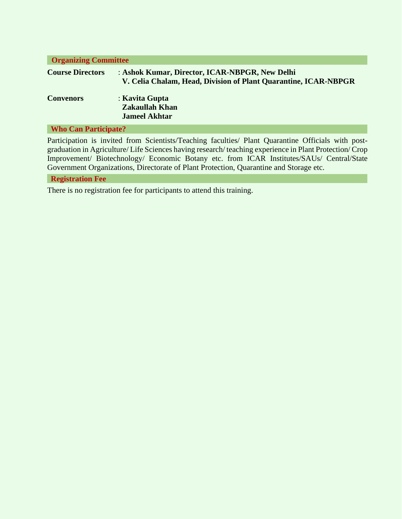| <b>Organizing Committee</b> |                                                                                                                   |
|-----------------------------|-------------------------------------------------------------------------------------------------------------------|
| <b>Course Directors</b>     | : Ashok Kumar, Director, ICAR-NBPGR, New Delhi<br>V. Celia Chalam, Head, Division of Plant Quarantine, ICAR-NBPGR |
| <b>Convenors</b>            | : Kavita Gupta<br><b>Zakaullah Khan</b><br><b>Jameel Akhtar</b>                                                   |
| <b>Who Can Participate?</b> |                                                                                                                   |

Participation is invited from Scientists/Teaching faculties/ Plant Quarantine Officials with postgraduation in Agriculture/ Life Sciences having research/ teaching experience in Plant Protection/ Crop Improvement/ Biotechnology/ Economic Botany etc. from ICAR Institutes/SAUs/ Central/State Government Organizations, Directorate of Plant Protection, Quarantine and Storage etc.

#### **Registration Fee**

There is no registration fee for participants to attend this training.